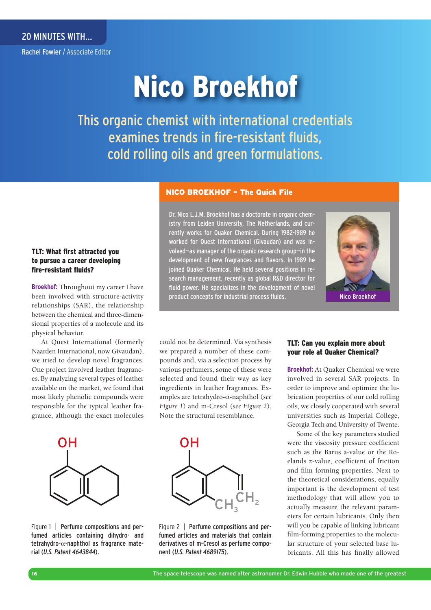Rachel Fowler / Associate Editor

# Nico Broekhof

This organic chemist with international credentials examines trends in fire-resistant fluids, cold rolling oils and green formulations.

#### NICO BROEKHOF – The Quick File

### TLT: What first attracted you to pursue a career developing fire-resistant fluids?

**Broekhof:** Throughout my career I have been involved with structure-activity relationships (SAR), the relationship between the chemical and three-dimensional properties of a molecule and its physical behavior.

At Quest International (formerly Naarden International, now Givaudan), we tried to develop novel fragrances. One project involved leather fragrances. By analyzing several types of leather available on the market, we found that most likely phenolic compounds were responsible for the typical leather fragrance, although the exact molecules

Dr. Nico L.J.M. Broekhof has a doctorate in organic chemistry from Leiden University, The Netherlands, and currently works for Quaker Chemical. During 1982-1989 he worked for Quest International (Givaudan) and was involved—as manager of the organic research group—in the development of new fragrances and flavors. In 1989 he joined Quaker Chemical. He held several positions in research management, recently as global R&D director for fluid power. He specializes in the development of novel product concepts for industrial process fluids.



could not be determined. Via synthesis we prepared a number of these compounds and, via a selection process by various perfumers, some of these were selected and found their way as key ingredients in leather fragrances. Examples are tetrahydro-α-naphthol (see *Figure 1*) and m-Cresol (*see Figure 2*). Note the structural resemblance.



Figure 1 | **Perfume compositions and per**fumed articles containing dihydro- and tetrahydro- $\alpha$ -naphthol as fragrance material (*U.S. Patent 4643844*).



Figure 2 | Perfume compositions and perfumed articles and materials that contain derivatives of m-Cresol as perfume component (*U.S. Patent 4689175*).

#### TLT: Can you explain more about your role at Quaker Chemical?

**Broekhof:** At Quaker Chemical we were involved in several SAR projects. In order to improve and optimize the lubrication properties of our cold rolling oils, we closely cooperated with several universities such as Imperial College, Georgia Tech and University of Twente.

Some of the key parameters studied were the viscosity pressure coefficient such as the Barus a-value or the Roelands z-value, coefficient of friction and film forming properties. Next to the theoretical considerations, equally important is the development of test methodology that will allow you to actually measure the relevant parameters for certain lubricants. Only then will you be capable of linking lubricant film-forming properties to the molecular structure of your selected base lubricants. All this has finally allowed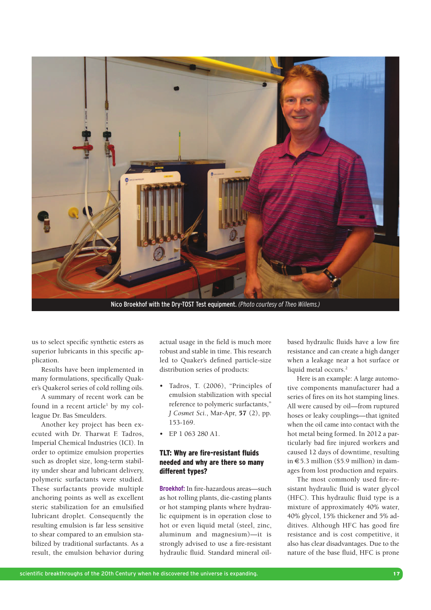

Nico Broekhof with the Dry-TOST Test equipment. *(Photo courtesy of Theo Willems.)*

us to select specific synthetic esters as superior lubricants in this specific application.

Results have been implemented in many formulations, specifically Quaker's Quakerol series of cold rolling oils.

A summary of recent work can be found in a recent article<sup>1</sup> by my colleague Dr. Bas Smeulders.

Another key project has been executed with Dr. Tharwat F. Tadros, Imperial Chemical Industries (ICI). In order to optimize emulsion properties such as droplet size, long-term stability under shear and lubricant delivery, polymeric surfactants were studied. These surfactants provide multiple anchoring points as well as excellent steric stabilization for an emulsified lubricant droplet. Consequently the resulting emulsion is far less sensitive to shear compared to an emulsion stabilized by traditional surfactants. As a result, the emulsion behavior during

actual usage in the field is much more robust and stable in time. This research led to Quaker's defined particle-size distribution series of products:

- Tadros, T. (2006), "Principles of emulsion stabilization with special reference to polymeric surfactants," *J Cosmet Sci.*, Mar-Apr, 57 (2), pp. 153-169.
- EP 1 063 280 A1.

#### TLT: Why are fire-resistant fluids needed and why are there so many different types?

**Broekhof:** In fire-hazardous areas—such as hot rolling plants, die-casting plants or hot stamping plants where hydraulic equipment is in operation close to hot or even liquid metal (steel, zinc, aluminum and magnesium)—it is strongly advised to use a fire-resistant hydraulic fluid. Standard mineral oilbased hydraulic fluids have a low fire resistance and can create a high danger when a leakage near a hot surface or liquid metal occurs.<sup>2</sup>

Here is an example: A large automotive components manufacturer had a series of fires on its hot stamping lines. All were caused by oil—from ruptured hoses or leaky couplings—that ignited when the oil came into contact with the hot metal being formed. In 2012 a particularly bad fire injured workers and caused 12 days of downtime, resulting in  $\epsilon$ 5.3 million (\$5.9 million) in damages from lost production and repairs.

The most commonly used fire-resistant hydraulic fluid is water glycol (HFC). This hydraulic fluid type is a mixture of approximately 40% water, 40% glycol, 15% thickener and 5% additives. Although HFC has good fire resistance and is cost competitive, it also has clear disadvantages. Due to the nature of the base fluid, HFC is prone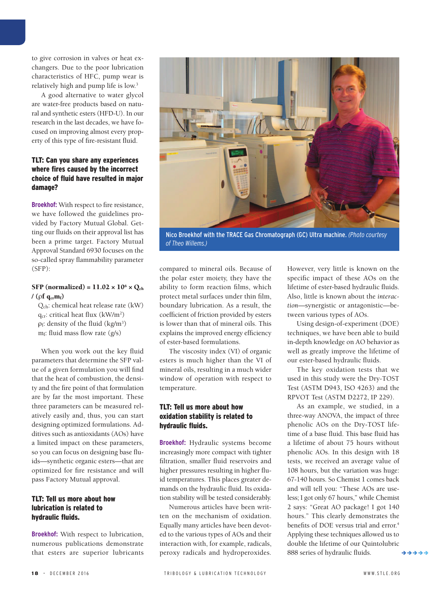to give corrosion in valves or heat exchangers. Due to the poor lubrication characteristics of HFC, pump wear is relatively high and pump life is low.<sup>3</sup>

A good alternative to water glycol are water-free products based on natural and synthetic esters (HFD-U). In our research in the last decades, we have focused on improving almost every property of this type of fire-resistant fluid.

### TLT: Can you share any experiences where fires caused by the incorrect choice of fluid have resulted in major damage?

**Broekhof:** With respect to fire resistance, we have followed the guidelines provided by Factory Mutual Global. Getting our fluids on their approval list has been a prime target. Factory Mutual Approval Standard 6930 focuses on the so-called spray flammability parameter (SFP):

#### SFP (normalized) =  $11.02 \times 10^6 \times Q_{ch}$ / ( $\rho f$  q<sub>cr</sub>m<sub>f</sub>)

 Qch: chemical heat release rate (kW)  $q_{cr}$ : critical heat flux (kW/m<sup>2</sup>)  $\rho_f$ : density of the fluid (kg/m<sup>3</sup>)  $m_f$ : fluid mass flow rate  $(g/s)$ 

When you work out the key fluid parameters that determine the SFP value of a given formulation you will find that the heat of combustion, the density and the fire point of that formulation are by far the most important. These three parameters can be measured relatively easily and, thus, you can start designing optimized formulations. Additives such as antioxidants (AOs) have a limited impact on these parameters, so you can focus on designing base fluids—synthetic organic esters—that are optimized for fire resistance and will pass Factory Mutual approval.

# TLT: Tell us more about how lubrication is related to hydraulic fluids.

**Broekhof:** With respect to lubrication, numerous publications demonstrate that esters are superior lubricants



Nico Broekhof with the TRACE Gas Chromatograph (GC) Ultra machine. *(Photo courtesy of Theo Willems.)*

compared to mineral oils. Because of the polar ester moiety, they have the ability to form reaction films, which protect metal surfaces under thin film, boundary lubrication. As a result, the coefficient of friction provided by esters is lower than that of mineral oils. This explains the improved energy efficiency of ester-based formulations.

The viscosity index (VI) of organic esters is much higher than the VI of mineral oils, resulting in a much wider window of operation with respect to temperature.

# TLT: Tell us more about how oxidation stability is related to hydraulic fluids.

**Broekhof:** Hydraulic systems become increasingly more compact with tighter filtration, smaller fluid reservoirs and higher pressures resulting in higher fluid temperatures. This places greater demands on the hydraulic fluid. Its oxidation stability will be tested considerably.

Numerous articles have been written on the mechanism of oxidation. Equally many articles have been devoted to the various types of AOs and their interaction with, for example, radicals, peroxy radicals and hydroperoxides.

However, very little is known on the specific impact of these AOs on the lifetime of ester-based hydraulic fluids. Also, little is known about the *interaction*—synergistic or antagonistic—between various types of AOs.

Using design-of-experiment (DOE) techniques, we have been able to build in-depth knowledge on AO behavior as well as greatly improve the lifetime of our ester-based hydraulic fluids.

The key oxidation tests that we used in this study were the Dry-TOST Test (ASTM D943, ISO 4263) and the RPVOT Test (ASTM D2272, IP 229).

As an example, we studied, in a three-way ANOVA, the impact of three phenolic AOs on the Dry-TOST lifetime of a base fluid. This base fluid has a lifetime of about 75 hours without phenolic AOs. In this design with 18 tests, we received an average value of 108 hours, but the variation was huge: 67-140 hours. So Chemist 1 comes back and will tell you: "These AOs are useless; I got only 67 hours," while Chemist 2 says: "Great AO package! I got 140 hours." This clearly demonstrates the benefits of DOE versus trial and error.<sup>4</sup> Applying these techniques allowed us to double the lifetime of our Quintolubric 888 series of hydraulic fluids. ララララ